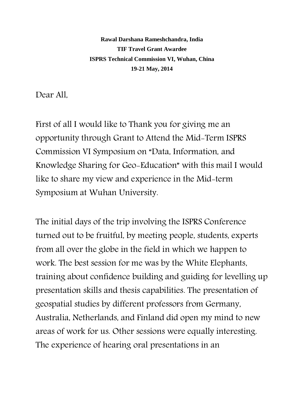**Rawal Darshana Rameshchandra, India TIF Travel Grant Awardee ISPRS Technical Commission VI, Wuhan, China 19-21 May, 2014**

Dear All,

First of all I would like to Thank you for giving me an opportunity through Grant to Attend the Mid-Term ISPRS Commission VI Symposium on "Data, Information, and Knowledge Sharing for Geo-Education" with this mail I would like to share my view and experience in the Mid-term Symposium at Wuhan University.

The initial days of the trip involving the ISPRS Conference turned out to be fruitful, by meeting people, students, experts from all over the globe in the field in which we happen to work. The best session for me was by the White Elephants, training about confidence building and guiding for levelling up presentation skills and thesis capabilities. The presentation of geospatial studies by different professors from Germany, Australia, Netherlands, and Finland did open my mind to new areas of work for us. Other sessions were equally interesting. The experience of hearing oral presentations in an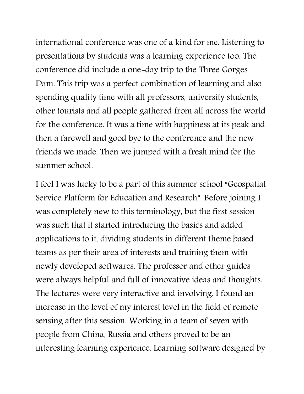international conference was one of a kind for me. Listening to presentations by students was a learning experience too. The conference did include a one-day trip to the Three Gorges Dam. This trip was a perfect combination of learning and also spending quality time with all professors, university students, other tourists and all people gathered from all across the world for the conference. It was a time with happiness at its peak and then a farewell and good bye to the conference and the new friends we made. Then we jumped with a fresh mind for the summer school.

I feel I was lucky to be a part of this summer school "Geospatial Service Platform for Education and Research". Before joining I was completely new to this terminology, but the first session was such that it started introducing the basics and added applications to it, dividing students in different theme based teams as per their area of interests and training them with newly developed softwares. The professor and other guides were always helpful and full of innovative ideas and thoughts. The lectures were very interactive and involving. I found an increase in the level of my interest level in the field of remote sensing after this session. Working in a team of seven with people from China, Russia and others proved to be an interesting learning experience. Learning software designed by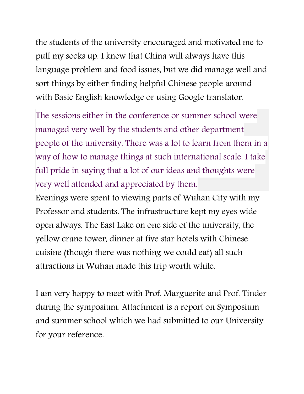the students of the university encouraged and motivated me to pull my socks up. I knew that China will always have this language problem and food issues, but we did manage well and sort things by either finding helpful Chinese people around with Basic English knowledge or using Google translator.

The sessions either in the conference or summer school were managed very well by the students and other department people of the university. There was a lot to learn from them in a way of how to manage things at such international scale. I take full pride in saying that a lot of our ideas and thoughts were very well attended and appreciated by them.

Evenings were spent to viewing parts of Wuhan City with my Professor and students. The infrastructure kept my eyes wide open always. The East Lake on one side of the university, the yellow crane tower, dinner at five star hotels with Chinese cuisine (though there was nothing we could eat) all such attractions in Wuhan made this trip worth while.

I am very happy to meet with Prof. Marguerite and Prof. Tinder during the symposium. Attachment is a report on Symposium and summer school which we had submitted to our University for your reference.